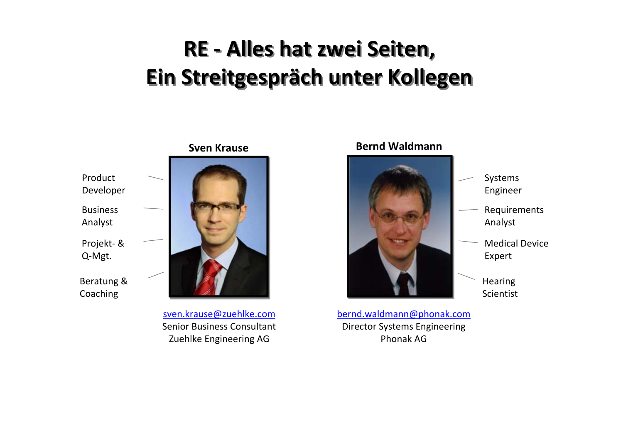# **RE ‐ Alles hat zwei Seiten, RE ‐ Alles hat zwei Seiten, Ein Streitgespräch unter Kollegen Ein Streitgespräch unter Kollegen**





[sven.krause@zuehlke.com](mailto:sven.krause@zuehlke.com) Senior Business Consultant Zuehlke Engineering AG

## **Bernd Waldmann** Systems Engineer Analyst Expert Hearing Scientist

[bernd.waldmann@phonak.com](mailto:bernd.waldmann@phonak.com) Director Systems Engineering Phonak AG

Requirements Medical Device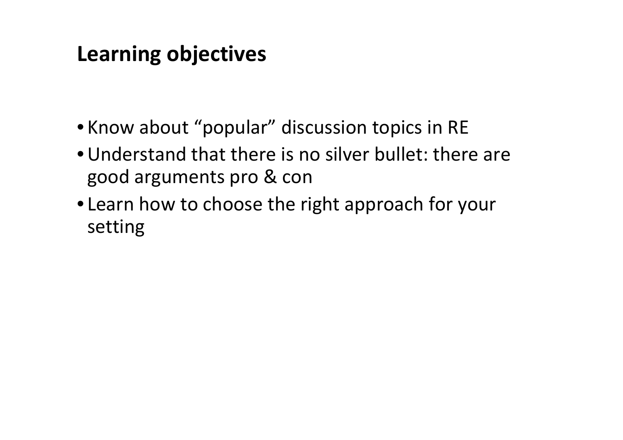## **Learning objectives**

- Know about "popular" discussion topics in RE
- Understand that there is no silver bullet: there are good arguments pro & con
- Learn how to choose the right approach for your setting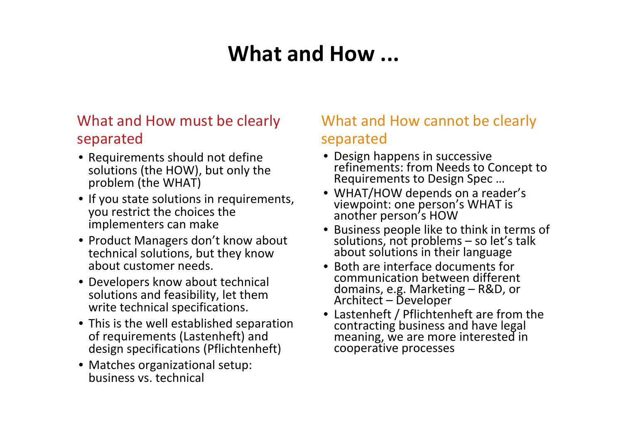## **What and How ...**

#### What and How must be clearly separated

- Requirements should not define solutions (the HOW), but only the problem (the WHAT)
- If you state solutions in requirements, you restrict the choices the implementers can make
- Product Managers don't know about technical solutions, but they know about customer needs.
- Developers know about technical solutions and feasibility, let them write technical specifications.
- This is the well established separation of requirements (Lastenheft) and design specifications (Pflichtenheft)
- Matches organizational setup: business vs. technical

### What and How cannot be clearly separated

- Design happens in successive : from Needs to Concept to Requirements to Design Spec …
- WHAT/HOW depends on <sup>a</sup> reader's viewpoint: one person's WHAT is another person's HOW
- Business people like to think in terms of solutions, not problems – so let's talk t solutions in their language
- Both are interface documents for communication between different domains, e.g. Marketing  $-$  R&D, or – Developer
- Lastenheft / Pflichtenheft are from the contracting business and have legal meaning, we are more interested in cooperative processes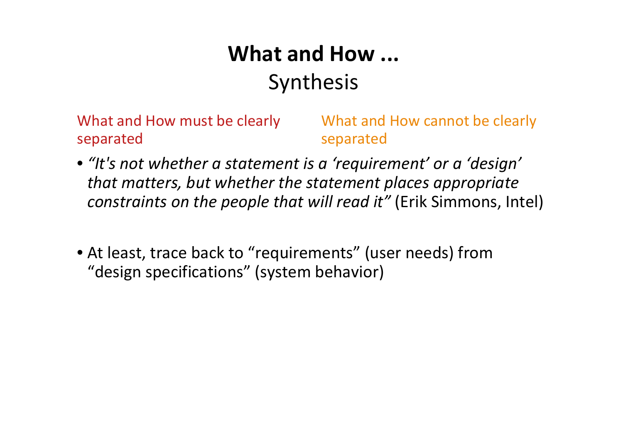## **What and How ... Synthesis**

What and How must be clearly separated What and How cannot be clearly separated

- *"It's not whether <sup>a</sup> statement is <sup>a</sup> 'requirement' or <sup>a</sup> 'design' that matters, but whether the statement places appropriate constraints on the people that will read it"* (Erik Simmons, Intel)
- At least, trace back to "requirements" (user needs) from "design specifications" (system behavior)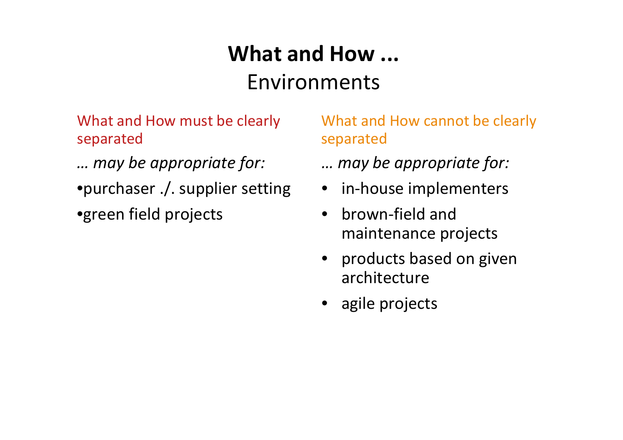## **What and How ...** Environments

What and How must be clearly separated

*… may be appropriate for:*

•purchaser ./. supplier setting

•green field projects

What and How cannot be clearly separated

*… may be appropriate for:*

- in‐house implementers
- brown‐field and maintenance projects
- products based on given architecture
- agile projects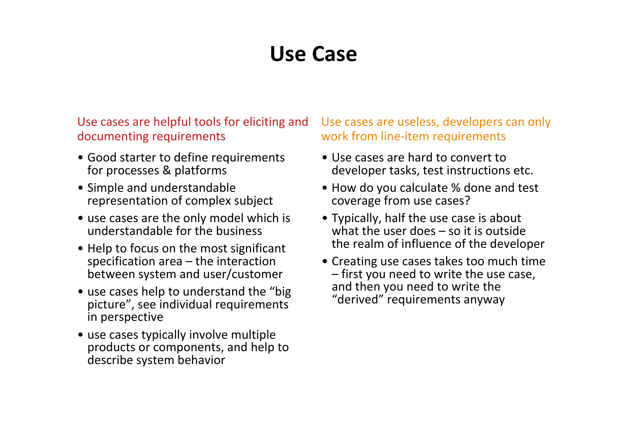## **Use Case**

#### Use cases are helpful tools for eliciting and documenting requirements

- Good starter to define requirements for processes & platforms
- Simple and understandable representation of complex subject
- use cases are the only model which is understandable for the business
- Help to focus on the most significant specification area – the interaction between system and user/customer
- use cases help to understand the "big picture", see individual requirements in perspective
- use cases typically involve multiple products or components, and help to describe system behavior

Use cases are useless, developers can only work from line‐item requirements

- Use cases are hard to convert to developer tasks, test instructions etc.
- How do you calculate % done and test coverage from use cases?
- Typically, half the use case is about what the user does – so it is outside the realm of influence of the developer
- Creating use cases takes too much time – first you need to write the use case, and then you need to write the "derived" requirements anyway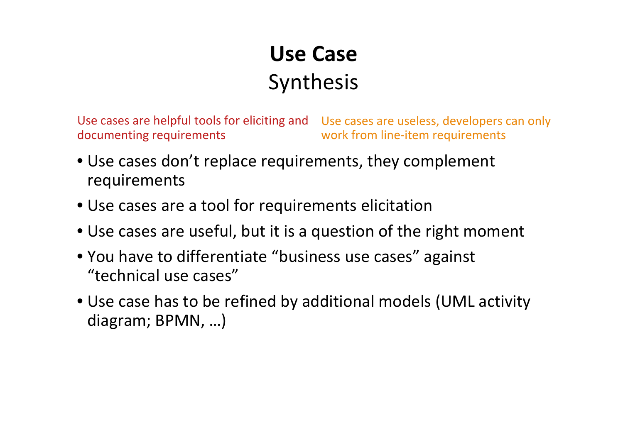## **Use Case Synthesis**

Use cases are helpful tools for eliciting and Use cases are useless, developers can only documenting requirements work from line‐item requirements

- Use cases don't replace requirements, they complement requirements
- Use cases are <sup>a</sup> tool for requirements elicitation
- Use cases are useful, but it is <sup>a</sup> question of the right moment
- You have to differentiate "business use cases" against "technical use cases"
- Use case has to be refined by additional models (UML activity diagram; BPMN, …)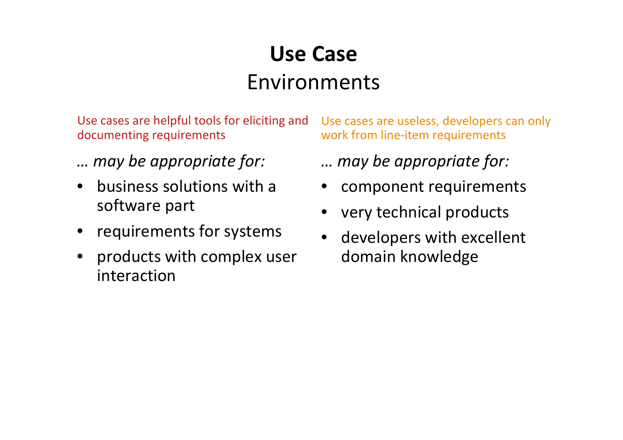# **Use Case** Environments

Use cases are helpful tools for eliciting and documenting requirements

- *… may be appropriate for:*
- business solutions with a software part
- requirements for systems
- products with complex user interaction

Use cases are useless, developers can only work from line‐item requirements

## *… may be appropriate for:*

- component requirements
- very technical products
- developers with excellent domain knowledge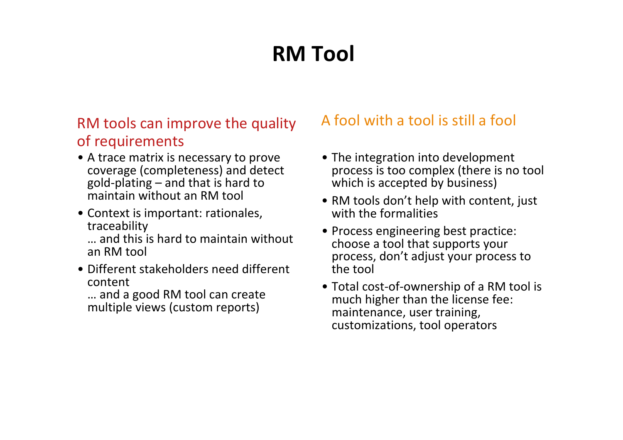# **RM Tool**

### RM tools can improve the quality of requirements

- A trace matrix is necessary to prove coverage (completeness) and detect gold‐plating – and that is hard to maintain without an RM tool
- Context is important: rationales, traceability

… and this is hard to maintain without an RM tool

• Different stakeholders need different content

… and <sup>a</sup> good RM tool can create multiple views (custom reports)

## A fool with <sup>a</sup> tool is still <sup>a</sup> fool

- The integration into development process is too complex (there is no tool which is accepted by business)
- RM tools don't help with content, just with the formalities
- Process engineering best practice: choose <sup>a</sup> tool that supports your process, don't adjust your process to the tool
- Total cost‐of‐ownership of <sup>a</sup> RM tool is much higher than the license fee: maintenance, user training, customizations, tool operators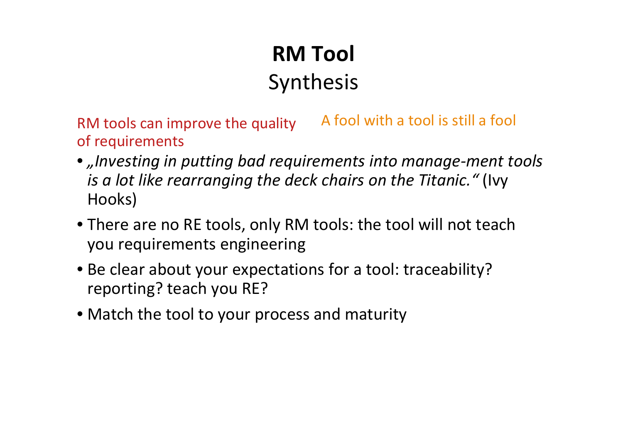# **RM Tool** Synthesis

RM tools can improve the quality of requirements A fool with <sup>a</sup> tool is still <sup>a</sup> fool

- *"Investing in putting bad requirements into manage‐ment tools is a lot like rearranging the deck chairs on the Titanic."* (Ivy Hooks)
- There are no RE tools, only RM tools: the tool will not teach you requirements engineering
- Be clear about your expectations for <sup>a</sup> tool: traceability? reporting? teach you RE?
- Match the tool to your process and maturity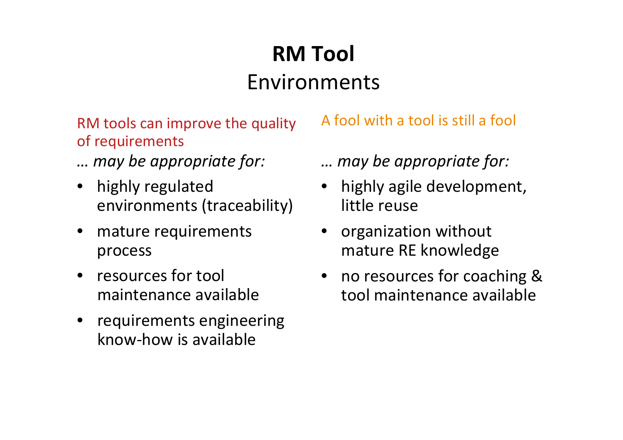# **RM Tool** Environments

RM tools can improve the quality of requirements

- *… may be appropriate for:*
- highly regulated environments (traceability)
- mature requirements process
- resources for tool maintenance available
- requirements engineering know‐how is available

A fool with <sup>a</sup> tool is still <sup>a</sup> fool

## *… may be appropriate for:*

- highly agile development, little reuse
- organization without mature RE knowledge
- no resources for coaching & tool maintenance available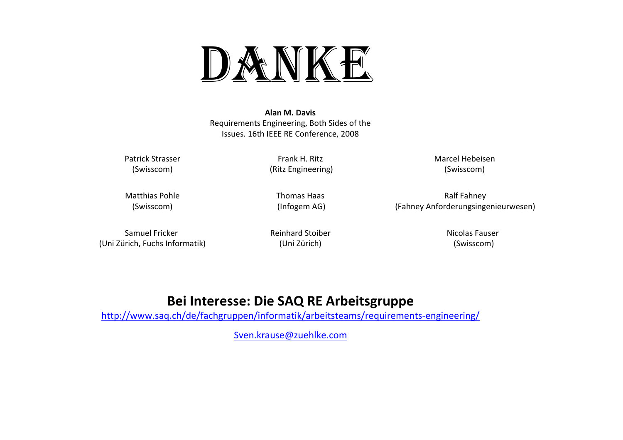# DANKE

**Alan M. Davis** Requirements Engineering, Both Sides of the Issues. 16th IEEE RE Conference, 2008

Patrick Strasser (Swisscom)

Frank H. Ritz (Ritz Engineering) Marcel Hebeisen(Swisscom)

Matthias Pohle(Swisscom)

Thomas Haas (Infogem AG)

Ralf Fahney (Fahney Anforderungsingenieurwesen)

Samuel Fricker(Uni Zürich, Fuchs Informatik) Reinhard Stoiber (Uni Zürich)

Nicolas Fauser (Swisscom)

#### **Bei Interesse: Die SAQ RE Arbeitsgruppe**

[http://www.saq.ch/de/fachgruppen/informatik/arbeitsteams/requirements](http://www.saq.ch/de/fachgruppen/informatik/arbeitsteams/requirements-engineering/)-engineering/

[Sven.krause@zuehlke.com](mailto:Sven.krause@zuehlke.com)